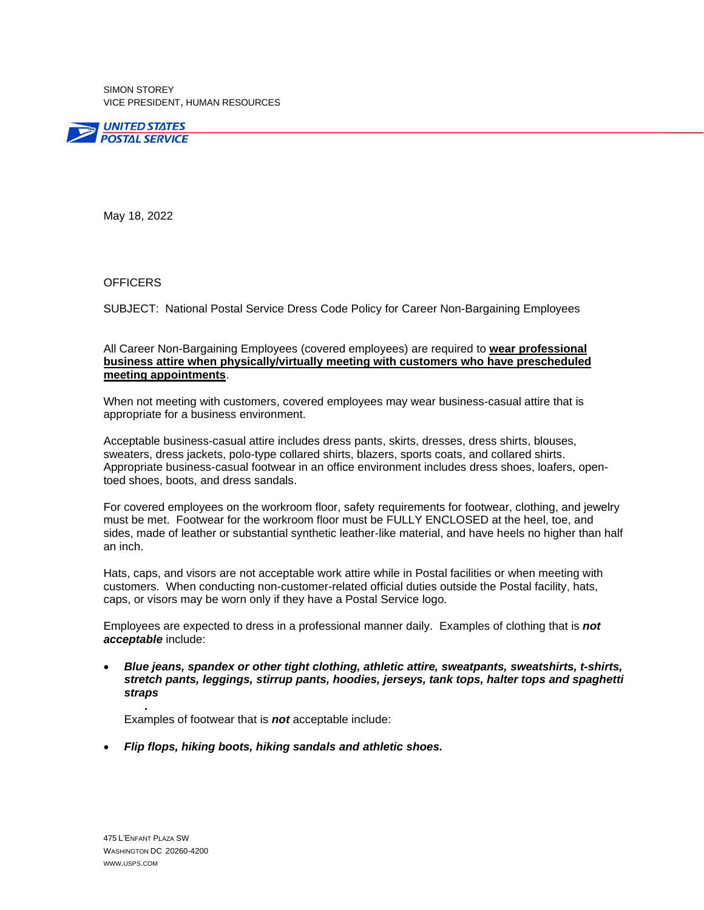SIMON STOREY VICE PRESIDENT, HUMAN RESOURCES



May 18, 2022

## **OFFICERS**

SUBJECT: National Postal Service Dress Code Policy for Career Non-Bargaining Employees

## All Career Non-Bargaining Employees (covered employees) are required to **wear professional business attire when physically/virtually meeting with customers who have prescheduled meeting appointments**.

When not meeting with customers, covered employees may wear business-casual attire that is appropriate for a business environment.

Acceptable business-casual attire includes dress pants, skirts, dresses, dress shirts, blouses, sweaters, dress jackets, polo-type collared shirts, blazers, sports coats, and collared shirts. Appropriate business-casual footwear in an office environment includes dress shoes, loafers, opentoed shoes, boots, and dress sandals.

For covered employees on the workroom floor, safety requirements for footwear, clothing, and jewelry must be met. Footwear for the workroom floor must be FULLY ENCLOSED at the heel, toe, and sides, made of leather or substantial synthetic leather-like material, and have heels no higher than half an inch.

Hats, caps, and visors are not acceptable work attire while in Postal facilities or when meeting with customers. When conducting non-customer-related official duties outside the Postal facility, hats, caps, or visors may be worn only if they have a Postal Service logo.

Employees are expected to dress in a professional manner daily. Examples of clothing that is *not acceptable* include:

• *Blue jeans, spandex or other tight clothing, athletic attire, sweatpants, sweatshirts, t-shirts, stretch pants, leggings, stirrup pants, hoodies, jerseys, tank tops, halter tops and spaghetti straps*

*.* Examples of footwear that is *not* acceptable include:

• *Flip flops, hiking boots, hiking sandals and athletic shoes.*